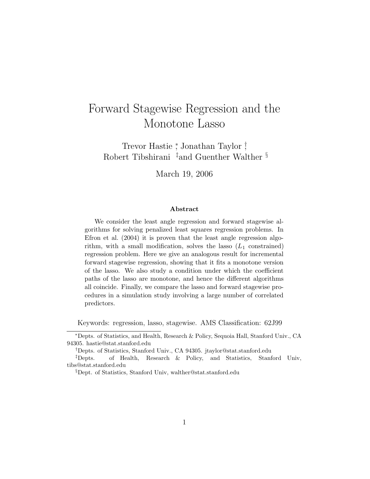# Forward Stagewise Regression and the Monotone Lasso

Trevor Hastie <sup>∗</sup> , Jonathan Taylor † , Robert Tibshirani ‡and Guenther Walther §

March 19, 2006

#### Abstract

We consider the least angle regression and forward stagewise algorithms for solving penalized least squares regression problems. In Efron et al. (2004) it is proven that the least angle regression algorithm, with a small modification, solves the lasso  $(L_1 \text{ constrained})$ regression problem. Here we give an analogous result for incremental forward stagewise regression, showing that it fits a monotone version of the lasso. We also study a condition under which the coefficient paths of the lasso are monotone, and hence the different algorithms all coincide. Finally, we compare the lasso and forward stagewise procedures in a simulation study involving a large number of correlated predictors.

Keywords: regression, lasso, stagewise. AMS Classification: 62J99

<sup>∗</sup>Depts. of Statistics, and Health, Research & Policy, Sequoia Hall, Stanford Univ., CA 94305. hastie@stat.stanford.edu

<sup>†</sup>Depts. of Statistics, Stanford Univ., CA 94305. jtaylor@stat.stanford.edu

<sup>‡</sup>Depts. of Health, Research & Policy, and Statistics, Stanford Univ, tibs@stat.stanford.edu

<sup>§</sup>Dept. of Statistics, Stanford Univ, walther@stat.stanford.edu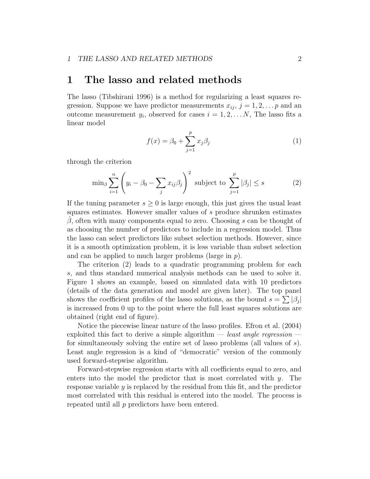### 1 The lasso and related methods

The lasso (Tibshirani 1996) is a method for regularizing a least squares regression. Suppose we have predictor measurements  $x_{ij}$ ,  $j = 1, 2, \ldots p$  and an outcome measurement  $y_i$ , observed for cases  $i = 1, 2, \ldots N$ , The lasso fits a linear model

$$
f(x) = \beta_0 + \sum_{j=1}^{p} x_j \beta_j
$$
 (1)

through the criterion

$$
\min_{\beta} \sum_{i=1}^{n} \left( y_i - \beta_0 - \sum_j x_{ij} \beta_j \right)^2 \text{ subject to } \sum_{j=1}^{p} |\beta_j| \le s \tag{2}
$$

If the tuning parameter  $s \geq 0$  is large enough, this just gives the usual least squares estimates. However smaller values of s produce shrunken estimates  $\beta$ , often with many components equal to zero. Choosing s can be thought of as choosing the number of predictors to include in a regression model. Thus the lasso can select predictors like subset selection methods. However, since it is a smooth optimization problem, it is less variable than subset selection and can be applied to much larger problems (large in p).

The criterion (2) leads to a quadratic programming problem for each s, and thus standard numerical analysis methods can be used to solve it. Figure 1 shows an example, based on simulated data with 10 predictors (details of the data generation and model are given later). The top panel shows the coefficient profiles of the lasso solutions, as the bound  $s = \sum |\beta_j|$ is increased from 0 up to the point where the full least squares solutions are obtained (right end of figure).

Notice the piecewise linear nature of the lasso profiles. Efron et al. (2004) exploited this fact to derive a simple algorithm — least angle regression for simultaneously solving the entire set of lasso problems (all values of s). Least angle regression is a kind of "democratic" version of the commonly used forward-stepwise algorithm.

Forward-stepwise regression starts with all coefficients equal to zero, and enters into the model the predictor that is most correlated with  $y$ . The response variable  $y$  is replaced by the residual from this fit, and the predictor most correlated with this residual is entered into the model. The process is repeated until all p predictors have been entered.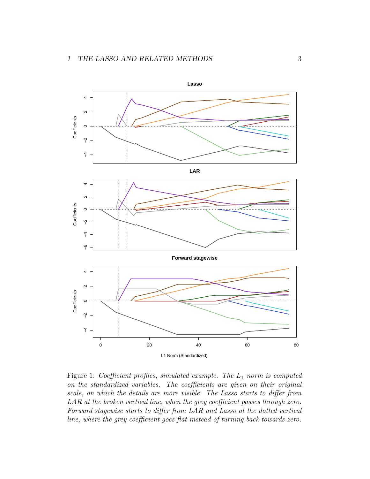

Figure 1: Coefficient profiles, simulated example. The  $L_1$  norm is computed on the standardized variables. The coefficients are given on their original scale, on which the details are more visible. The Lasso starts to differ from LAR at the broken vertical line, when the grey coefficient passes through zero. Forward stagewise starts to differ from LAR and Lasso at the dotted vertical line, where the grey coefficient goes flat instead of turning back towards zero.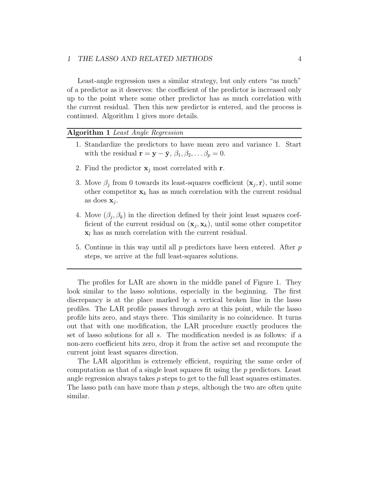#### 1 THE LASSO AND RELATED METHODS 4

Least-angle regression uses a similar strategy, but only enters "as much" of a predictor as it deserves: the coefficient of the predictor is increased only up to the point where some other predictor has as much correlation with the current residual. Then this new predictor is entered, and the process is continued. Algorithm 1 gives more details.

#### Algorithm 1 Least Angle Regression

- 1. Standardize the predictors to have mean zero and variance 1. Start with the residual  $\mathbf{r} = \mathbf{y} - \bar{\mathbf{y}}, \beta_1, \beta_2, \dots \beta_p = 0.$
- 2. Find the predictor  $\mathbf{x}_i$  most correlated with r.
- 3. Move  $\beta_j$  from 0 towards its least-squares coefficient  $\langle \mathbf{x}_j, \mathbf{r} \rangle$ , until some other competitor  $x_k$  has as much correlation with the current residual as does  $\mathbf{x}_j$ .
- 4. Move  $(\beta_j, \beta_k)$  in the direction defined by their joint least squares coefficient of the current residual on  $(\mathbf{x}_j, \mathbf{x}_k)$ , until some other competitor  $x_l$  has as much correlation with the current residual.
- 5. Continue in this way until all  $p$  predictors have been entered. After  $p$ steps, we arrive at the full least-squares solutions.

The profiles for LAR are shown in the middle panel of Figure 1. They look similar to the lasso solutions, especially in the beginning. The first discrepancy is at the place marked by a vertical broken line in the lasso profiles. The LAR profile passes through zero at this point, while the lasso profile hits zero, and stays there. This similarity is no coincidence. It turns out that with one modification, the LAR procedure exactly produces the set of lasso solutions for all s. The modification needed is as follows: if a non-zero coefficient hits zero, drop it from the active set and recompute the current joint least squares direction.

The LAR algorithm is extremely efficient, requiring the same order of computation as that of a single least squares fit using the p predictors. Least angle regression always takes p steps to get to the full least squares estimates. The lasso path can have more than  $p$  steps, although the two are often quite similar.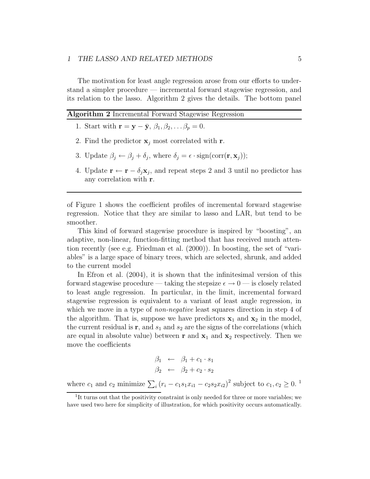#### 1 THE LASSO AND RELATED METHODS 5

The motivation for least angle regression arose from our efforts to understand a simpler procedure — incremental forward stagewise regression, and its relation to the lasso. Algorithm 2 gives the details. The bottom panel

|  |  | Algorithm 2 Incremental Forward Stagewise Regression |  |  |  |
|--|--|------------------------------------------------------|--|--|--|
|--|--|------------------------------------------------------|--|--|--|

- 1. Start with  $\mathbf{r} = \mathbf{y} \bar{\mathbf{y}}, \beta_1, \beta_2, \ldots \beta_p = 0.$
- 2. Find the predictor  $x_i$  most correlated with r.
- 3. Update  $\beta_j \leftarrow \beta_j + \delta_j$ , where  $\delta_j = \epsilon \cdot sign(corr(\mathbf{r}, \mathbf{x}_j));$
- 4. Update  $\mathbf{r} \leftarrow \mathbf{r} \delta_j \mathbf{x}_j$ , and repeat steps 2 and 3 until no predictor has any correlation with r.

of Figure 1 shows the coefficient profiles of incremental forward stagewise regression. Notice that they are similar to lasso and LAR, but tend to be smoother.

This kind of forward stagewise procedure is inspired by "boosting", an adaptive, non-linear, function-fitting method that has received much attention recently (see e.g. Friedman et al. (2000)). In boosting, the set of "variables" is a large space of binary trees, which are selected, shrunk, and added to the current model

In Efron et al. (2004), it is shown that the infinitesimal version of this forward stagewise procedure — taking the stepsize  $\epsilon \to 0$  — is closely related to least angle regression. In particular, in the limit, incremental forward stagewise regression is equivalent to a variant of least angle regression, in which we move in a type of *non-negative* least squares direction in step 4 of the algorithm. That is, suppose we have predictors  $x_1$  and  $x_2$  in the model, the current residual is  $\mathbf{r}$ , and  $s_1$  and  $s_2$  are the signs of the correlations (which are equal in absolute value) between **r** and  $x_1$  and  $x_2$  respectively. Then we move the coefficients

$$
\beta_1 \leftarrow \beta_1 + c_1 \cdot s_1 \n\beta_2 \leftarrow \beta_2 + c_2 \cdot s_2
$$

where  $c_1$  and  $c_2$  minimize  $\sum_i (r_i - c_1 s_1 x_{i1} - c_2 s_2 x_{i2})^2$  subject to  $c_1, c_2 \ge 0$ .<sup>1</sup>

<sup>&</sup>lt;sup>1</sup>It turns out that the positivity constraint is only needed for three or more variables; we have used two here for simplicity of illustration, for which positivity occurs automatically.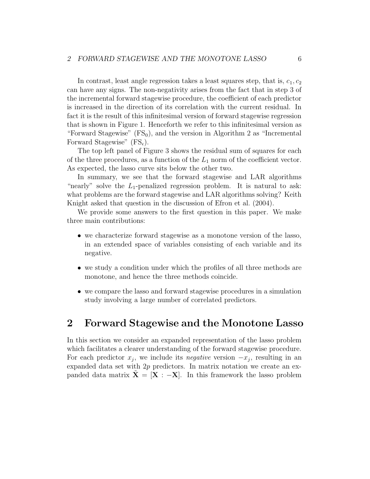In contrast, least angle regression takes a least squares step, that is,  $c_1, c_2$ can have any signs. The non-negativity arises from the fact that in step 3 of the incremental forward stagewise procedure, the coefficient of each predictor is increased in the direction of its correlation with the current residual. In fact it is the result of this infinitesimal version of forward stagewise regression that is shown in Figure 1. Henceforth we refer to this infinitesimal version as "Forward Stagewise"  $(FS_0)$ , and the version in Algorithm 2 as "Incremental" Forward Stagewise"  $(FS_{\epsilon})$ .

The top left panel of Figure 3 shows the residual sum of squares for each of the three procedures, as a function of the  $L_1$  norm of the coefficient vector. As expected, the lasso curve sits below the other two.

In summary, we see that the forward stagewise and LAR algorithms "nearly" solve the  $L_1$ -penalized regression problem. It is natural to ask: what problems are the forward stagewise and LAR algorithms solving? Keith Knight asked that question in the discussion of Efron et al. (2004).

We provide some answers to the first question in this paper. We make three main contributions:

- we characterize forward stagewise as a monotone version of the lasso, in an extended space of variables consisting of each variable and its negative.
- we study a condition under which the profiles of all three methods are monotone, and hence the three methods coincide.
- we compare the lasso and forward stagewise procedures in a simulation study involving a large number of correlated predictors.

### 2 Forward Stagewise and the Monotone Lasso

In this section we consider an expanded representation of the lasso problem which facilitates a clearer understanding of the forward stagewise procedure. For each predictor  $x_j$ , we include its *negative* version  $-x_j$ , resulting in an expanded data set with  $2p$  predictors. In matrix notation we create an expanded data matrix  $X = [X : -X]$ . In this framework the lasso problem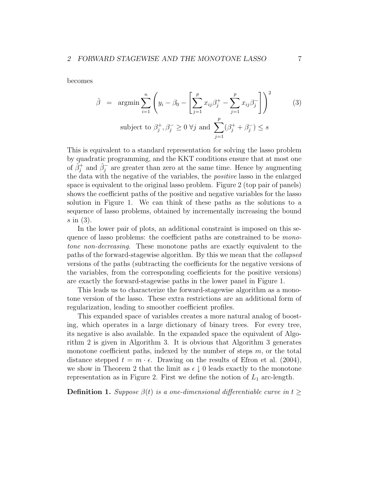becomes

$$
\hat{\beta} = \operatorname{argmin} \sum_{i=1}^{n} \left( y_i - \beta_0 - \left[ \sum_{j=1}^{p} x_{ij} \beta_j^+ - \sum_{j=1}^{p} x_{ij} \beta_j^- \right] \right)^2
$$
\nsubject to  $\beta_j^+, \beta_j^- \geq 0 \ \forall j$  and  $\sum_{j=1}^{p} (\beta_j^+ + \beta_j^-) \leq s$ 

This is equivalent to a standard representation for solving the lasso problem by quadratic programming, and the KKT conditions ensure that at most one of  $\hat{\beta}_j^+$  and  $\hat{\beta}_j^-$  are greater than zero at the same time. Hence by augmenting the data with the negative of the variables, the positive lasso in the enlarged space is equivalent to the original lasso problem. Figure 2 (top pair of panels) shows the coefficient paths of the positive and negative variables for the lasso solution in Figure 1. We can think of these paths as the solutions to a sequence of lasso problems, obtained by incrementally increasing the bound s in (3).

In the lower pair of plots, an additional constraint is imposed on this sequence of lasso problems: the coefficient paths are constrained to be monotone non-decreasing. These monotone paths are exactly equivalent to the paths of the forward-stagewise algorithm. By this we mean that the collapsed versions of the paths (subtracting the coefficients for the negative versions of the variables, from the corresponding coefficients for the positive versions) are exactly the forward-stagewise paths in the lower panel in Figure 1.

This leads us to characterize the forward-stagewise algorithm as a monotone version of the lasso. These extra restrictions are an additional form of regularization, leading to smoother coefficient profiles.

This expanded space of variables creates a more natural analog of boosting, which operates in a large dictionary of binary trees. For every tree, its negative is also available. In the expanded space the equivalent of Algorithm 2 is given in Algorithm 3. It is obvious that Algorithm 3 generates monotone coefficient paths, indexed by the number of steps  $m$ , or the total distance stepped  $t = m \cdot \epsilon$ . Drawing on the results of Efron et al. (2004), we show in Theorem 2 that the limit as  $\epsilon \downarrow 0$  leads exactly to the monotone representation as in Figure 2. First we define the notion of  $L_1$  arc-length.

**Definition 1.** Suppose  $\beta(t)$  is a one-dimensional differentiable curve in t >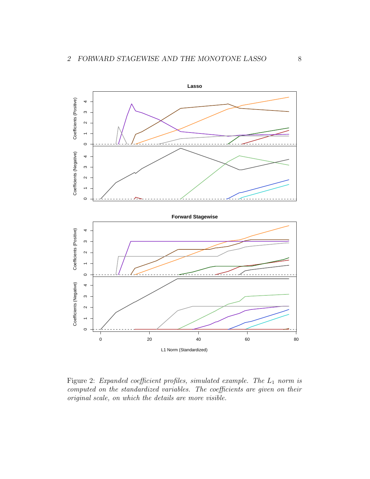

Figure 2: Expanded coefficient profiles, simulated example. The  $L_1$  norm is computed on the standardized variables. The coefficients are given on their original scale, on which the details are more visible.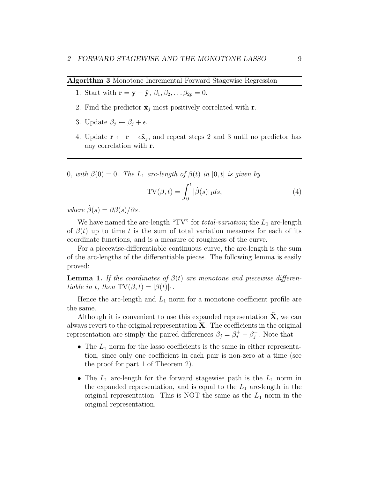Algorithm 3 Monotone Incremental Forward Stagewise Regression

- 1. Start with  $\mathbf{r} = \mathbf{y} \bar{\mathbf{y}}, \beta_1, \beta_2, \ldots \beta_{2p} = 0.$
- 2. Find the predictor  $\tilde{\mathbf{x}}_j$  most positively correlated with **r**.
- 3. Update  $\beta_j \leftarrow \beta_j + \epsilon$ .
- 4. Update  $\mathbf{r} \leftarrow \mathbf{r} \epsilon \tilde{\mathbf{x}}_j$ , and repeat steps 2 and 3 until no predictor has any correlation with r.

0, with  $\beta(0) = 0$ . The  $L_1$  arc-length of  $\beta(t)$  in  $[0, t]$  is given by

$$
TV(\beta, t) = \int_0^t |\dot{\beta}(s)|_1 ds,
$$
\n(4)

where  $\dot{\beta}(s) = \partial \beta(s)/\partial s$ .

We have named the arc-length "TV" for *total-variation*; the  $L_1$  arc-length of  $\beta(t)$  up to time t is the sum of total variation measures for each of its coordinate functions, and is a measure of roughness of the curve.

For a piecewise-differentiable continuous curve, the arc-length is the sum of the arc-lengths of the differentiable pieces. The following lemma is easily proved:

**Lemma 1.** If the coordinates of  $\beta(t)$  are monotone and piecewise differentiable in t, then  $TV(\beta, t) = |\beta(t)|_1$ .

Hence the arc-length and  $L_1$  norm for a monotone coefficient profile are the same.

Although it is convenient to use this expanded representation  $X$ , we can always revert to the original representation  $X$ . The coefficients in the original representation are simply the paired differences  $\beta_j = \beta_j^+ - \beta_j^-$ . Note that

- The  $L_1$  norm for the lasso coefficients is the same in either representation, since only one coefficient in each pair is non-zero at a time (see the proof for part 1 of Theorem 2).
- The  $L_1$  arc-length for the forward stagewise path is the  $L_1$  norm in the expanded representation, and is equal to the  $L_1$  arc-length in the original representation. This is NOT the same as the  $L_1$  norm in the original representation.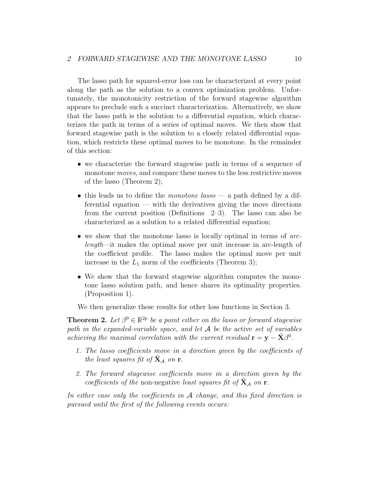The lasso path for squared-error loss can be characterized at every point along the path as the solution to a convex optimization problem. Unfortunately, the monotonicity restriction of the forward stagewise algorithm appears to preclude such a succinct characterization. Alternatively, we show that the lasso path is the solution to a differential equation, which characterizes the path in terms of a series of optimal moves. We then show that forward stagewise path is the solution to a closely related differential equation, which restricts these optimal moves to be monotone. In the remainder of this section:

- we characterize the forward stagewise path in terms of a sequence of monotone *moves*, and compare these moves to the less restrictive moves of the lasso (Theorem 2);
- this leads us to define the *monotone* lasso a path defined by a differential equation — with the derivatives giving the move directions from the current position (Definitions 2–3). The lasso can also be characterized as a solution to a related differential equation;
- we show that the monotone lasso is locally optimal in terms of arclength—it makes the optimal move per unit increase in arc-length of the coefficient profile. The lasso makes the optimal move per unit increase in the  $L_1$  norm of the coefficients (Theorem 3);
- We show that the forward stagewise algorithm computes the monotone lasso solution path, and hence shares its optimality properties. (Proposition 1).

We then generalize these results for other loss functions in Section 3.

**Theorem 2.** Let  $\beta^0 \in \mathbb{R}^{2p}$  be a point either on the lasso or forward stagewise path in the expanded-variable space, and let  $A$  be the active set of variables achieving the maximal correlation with the current residual  $\mathbf{r} = \mathbf{y} - \tilde{\mathbf{X}}\beta^0$ .

- 1. The lasso coefficients move in a direction given by the coefficients of the least squares fit of  $X_A$  on r.
- 2. The forward stagewise coefficients move in a direction given by the coefficients of the non-negative least squares fit of  $X_A$  on r.

In either case only the coefficients in  $A$  change, and this fixed direction is pursued until the first of the following events occurs: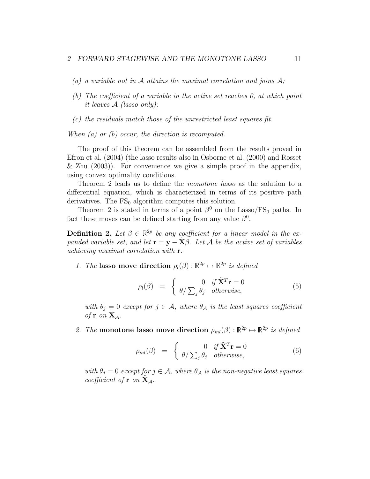- (a) a variable not in A attains the maximal correlation and joins  $A$ ;
- (b) The coefficient of a variable in the active set reaches 0, at which point it leaves A (lasso only);
- (c) the residuals match those of the unrestricted least squares fit.

When (a) or (b) occur, the direction is recomputed.

The proof of this theorem can be assembled from the results proved in Efron et al. (2004) (the lasso results also in Osborne et al. (2000) and Rosset & Zhu  $(2003)$ ). For convenience we give a simple proof in the appendix, using convex optimality conditions.

Theorem 2 leads us to define the monotone lasso as the solution to a differential equation, which is characterized in terms of its positive path derivatives. The  $FS_0$  algorithm computes this solution.

Theorem 2 is stated in terms of a point  $\beta^0$  on the Lasso/FS<sub>0</sub> paths. In fact these moves can be defined starting from any value  $\beta^0$ .

**Definition 2.** Let  $\beta \in \mathbb{R}^{2p}$  be any coefficient for a linear model in the expanded variable set, and let  $\mathbf{r} = \mathbf{y} - \tilde{\mathbf{X}}\beta$ . Let A be the active set of variables achieving maximal correlation with r.

1. The lasso move direction  $\rho_l(\beta) : \mathbb{R}^{2p} \to \mathbb{R}^{2p}$  is defined

$$
\rho_l(\beta) = \begin{cases} 0 & \text{if } \tilde{\mathbf{X}}^T \mathbf{r} = 0 \\ \theta / \sum_j \theta_j & \text{otherwise,} \end{cases}
$$
\n(5)

with  $\theta_j = 0$  except for  $j \in \mathcal{A}$ , where  $\theta_{\mathcal{A}}$  is the least squares coefficient of  $\mathbf r$  on  $\mathbf X_{\mathcal A}$ .

2. The monotone lasso move direction  $\rho_{ml}(\beta) : \mathbb{R}^{2p} \to \mathbb{R}^{2p}$  is defined

$$
\rho_{ml}(\beta) = \begin{cases} 0 & \text{if } \tilde{\mathbf{X}}^T \mathbf{r} = 0 \\ \theta / \sum_j \theta_j & \text{otherwise,} \end{cases}
$$
 (6)

with  $\theta_i = 0$  except for  $j \in \mathcal{A}$ , where  $\theta_{\mathcal{A}}$  is the non-negative least squares coefficient of  $\mathbf{r}$  on  $\mathbf{X}_{\mathcal{A}}$ .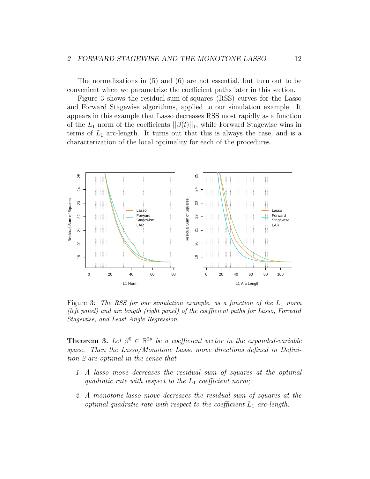The normalizations in (5) and (6) are not essential, but turn out to be convenient when we parametrize the coefficient paths later in this section.

Figure 3 shows the residual-sum-of-squares (RSS) curves for the Lasso and Forward Stagewise algorithms, applied to our simulation example. It appears in this example that Lasso decreases RSS most rapidly as a function of the  $L_1$  norm of the coefficients  $||\beta(t)||_1$ , while Forward Stagewise wins in terms of  $L_1$  arc-length. It turns out that this is always the case, and is a characterization of the local optimality for each of the procedures.



Figure 3: The RSS for our simulation example, as a function of the  $L_1$  norm (left panel) and arc length (right panel) of the coefficient paths for Lasso, Forward Stagewise, and Least Angle Regression.

**Theorem 3.** Let  $\beta^0 \in \mathbb{R}^{2p}$  be a coefficient vector in the expanded-variable space. Then the Lasso/Monotone Lasso move directions defined in Definition 2 are optimal in the sense that

- 1. A lasso move decreases the residual sum of squares at the optimal quadratic rate with respect to the  $L_1$  coefficient norm;
- 2. A monotone-lasso move decreases the residual sum of squares at the optimal quadratic rate with respect to the coefficient  $L_1$  arc-length.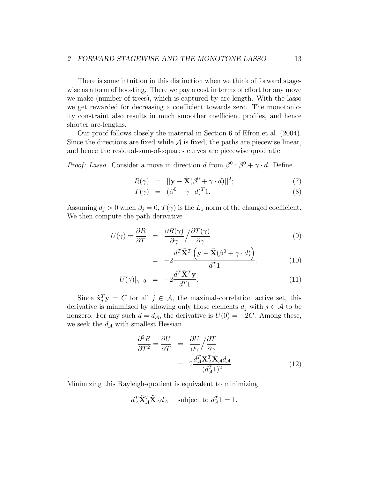There is some intuition in this distinction when we think of forward stagewise as a form of boosting. There we pay a cost in terms of effort for any move we make (number of trees), which is captured by arc-length. With the lasso we get rewarded for decreasing a coefficient towards zero. The monotonicity constraint also results in much smoother coefficient profiles, and hence shorter arc-lengths.

Our proof follows closely the material in Section 6 of Efron et al. (2004). Since the directions are fixed while  $A$  is fixed, the paths are piecewise linear, and hence the residual-sum-of-squares curves are piecewise quadratic.

*Proof: Lasso.* Consider a move in direction d from  $\beta^0$  :  $\beta^0 + \gamma \cdot d$ . Define

$$
R(\gamma) = ||\mathbf{y} - \tilde{\mathbf{X}}(\beta^0 + \gamma \cdot d)||^2; \tag{7}
$$

$$
T(\gamma) = (\beta^0 + \gamma \cdot d)^T 1. \tag{8}
$$

Assuming  $d_j > 0$  when  $\beta_j = 0$ ,  $T(\gamma)$  is the  $L_1$  norm of the changed coefficient. We then compute the path derivative

$$
U(\gamma) = \frac{\partial R}{\partial T} = \frac{\partial R(\gamma)}{\partial \gamma} / \frac{\partial T(\gamma)}{\partial \gamma}
$$
(9)

$$
= -2 \frac{d^T \tilde{\mathbf{X}}^T \left( \mathbf{y} - \tilde{\mathbf{X}} (\beta^0 + \gamma \cdot d) \right)}{d^T 1}.
$$
 (10)

$$
U(\gamma)|_{\gamma=0} = -2 \frac{d^T \tilde{\mathbf{X}}^T \mathbf{y}}{d^T 1}.
$$
\n(11)

Since  $\tilde{\mathbf{x}}_j^T \mathbf{y} = C$  for all  $j \in \mathcal{A}$ , the maximal-correlation active set, this derivative is minimized by allowing only those elements  $d_i$  with  $j \in \mathcal{A}$  to be nonzero. For any such  $d = d_{\mathcal{A}}$ , the derivative is  $U(0) = -2C$ . Among these, we seek the  $d_{\mathcal{A}}$  with smallest Hessian.

$$
\frac{\partial^2 R}{\partial T^2} = \frac{\partial U}{\partial T} = \frac{\partial U}{\partial \gamma} / \frac{\partial T}{\partial \gamma} \n= 2 \frac{d_A^T \tilde{\mathbf{X}}_A^T \tilde{\mathbf{X}}_A d_A}{(d_A^T)^2}
$$
\n(12)

Minimizing this Rayleigh-quotient is equivalent to minimizing

$$
d_{\mathcal{A}}^T \tilde{\mathbf{X}}_{\mathcal{A}}^T \tilde{\mathbf{X}}_{\mathcal{A}} d_{\mathcal{A}} \quad \text{subject to } d_{\mathcal{A}}^T \mathbf{1} = 1.
$$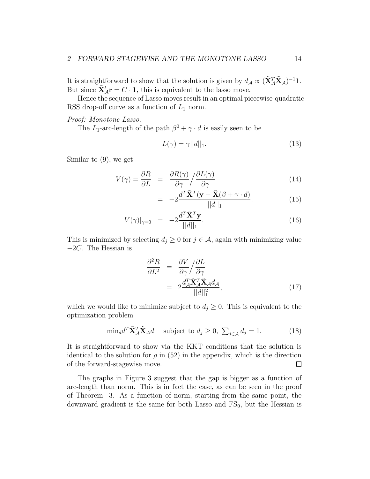It is straightforward to show that the solution is given by  $d_A \propto (\tilde{\mathbf{X}}_A^T \tilde{\mathbf{X}}_A)^{-1} \mathbf{1}$ . But since  $\tilde{\mathbf{X}}_{A}^{t} \mathbf{r} = C \cdot \mathbf{1}$ , this is equivalent to the lasso move.

Hence the sequence of Lasso moves result in an optimal piecewise-quadratic RSS drop-off curve as a function of  $L_1$  norm.

#### Proof: Monotone Lasso.

The  $L_1$ -arc-length of the path  $\beta^0 + \gamma \cdot d$  is easily seen to be

$$
L(\gamma) = \gamma ||d||_1. \tag{13}
$$

Similar to (9), we get

$$
V(\gamma) = \frac{\partial R}{\partial L} = \frac{\partial R(\gamma)}{\partial \gamma} / \frac{\partial L(\gamma)}{\partial \gamma}
$$
(14)

$$
= -2 \frac{d^T \tilde{\mathbf{X}}^T (\mathbf{y} - \tilde{\mathbf{X}} (\beta + \gamma \cdot d)}{||d||_1}.
$$
 (15)

$$
V(\gamma)|_{\gamma=0} = -2 \frac{d^T \tilde{\mathbf{X}}^T \mathbf{y}}{||d||_1}.
$$
 (16)

This is minimized by selecting  $d_j \geq 0$  for  $j \in \mathcal{A}$ , again with minimizing value −2C. The Hessian is

$$
\frac{\partial^2 R}{\partial L^2} = \frac{\partial V}{\partial \gamma} / \frac{\partial L}{\partial \gamma} \n= 2 \frac{d_A^T \tilde{\mathbf{X}}_A^T \tilde{\mathbf{X}}_A d_A}{||d||_1^2},
$$
\n(17)

which we would like to minimize subject to  $d_j \geq 0$ . This is equivalent to the optimization problem

$$
\min_{d} d^{T} \tilde{\mathbf{X}}_{\mathcal{A}}^{T} \tilde{\mathbf{X}}_{\mathcal{A}} d \quad \text{subject to } d_{j} \ge 0, \ \sum_{j \in \mathcal{A}} d_{j} = 1. \tag{18}
$$

It is straightforward to show via the KKT conditions that the solution is identical to the solution for  $\rho$  in (52) in the appendix, which is the direction of the forward-stagewise move.  $\Box$ 

The graphs in Figure 3 suggest that the gap is bigger as a function of arc-length than norm. This is in fact the case, as can be seen in the proof of Theorem 3. As a function of norm, starting from the same point, the downward gradient is the same for both Lasso and  $FS_0$ , but the Hessian is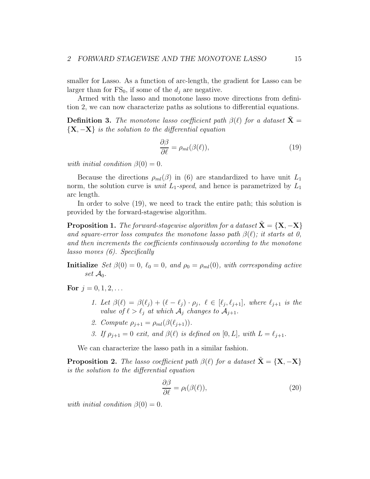smaller for Lasso. As a function of arc-length, the gradient for Lasso can be larger than for  $FS_0$ , if some of the  $d_i$  are negative.

Armed with the lasso and monotone lasso move directions from definition 2, we can now characterize paths as solutions to differential equations.

**Definition 3.** The monotone lasso coefficient path  $\beta(\ell)$  for a dataset  $\tilde{\mathbf{X}} =$  ${X, -X}$  is the solution to the differential equation

$$
\frac{\partial \beta}{\partial \ell} = \rho_{ml}(\beta(\ell)),\tag{19}
$$

with initial condition  $\beta(0) = 0$ .

Because the directions  $\rho_{ml}(\beta)$  in (6) are standardized to have unit  $L_1$ norm, the solution curve is *unit*  $L_1$ -speed, and hence is parametrized by  $L_1$ arc length.

In order to solve (19), we need to track the entire path; this solution is provided by the forward-stagewise algorithm.

**Proposition 1.** The forward-stagewise algorithm for a dataset  $X = \{X, -X\}$ and square-error loss computes the monotone lasso path  $\beta(\ell)$ ; it starts at 0, and then increments the coefficients continuously according to the monotone lasso moves (6). Specifically

**Initialize** Set  $\beta(0) = 0$ ,  $\ell_0 = 0$ , and  $\rho_0 = \rho_{ml}(0)$ , with corresponding active set  $\mathcal{A}_0$ .

For  $j = 0, 1, 2, \ldots$ 

- 1. Let  $\beta(\ell) = \beta(\ell_j) + (\ell \ell_j) \cdot \rho_j$ ,  $\ell \in [\ell_j, \ell_{j+1}]$ , where  $\ell_{j+1}$  is the value of  $\ell > \ell_j$  at which  $\mathcal{A}_j$  changes to  $\mathcal{A}_{j+1}$ .
- 2. Compute  $\rho_{i+1} = \rho_{ml}(\beta(\ell_{i+1})).$
- 3. If  $\rho_{i+1} = 0$  exit, and  $\beta(\ell)$  is defined on [0, L], with  $L = \ell_{i+1}$ .

We can characterize the lasso path in a similar fashion.

**Proposition 2.** The lasso coefficient path  $\beta(\ell)$  for a dataset  $\tilde{\mathbf{X}} = {\mathbf{X}, -\mathbf{X}}$ is the solution to the differential equation

$$
\frac{\partial \beta}{\partial \ell} = \rho_l(\beta(\ell)),\tag{20}
$$

with initial condition  $\beta(0) = 0$ .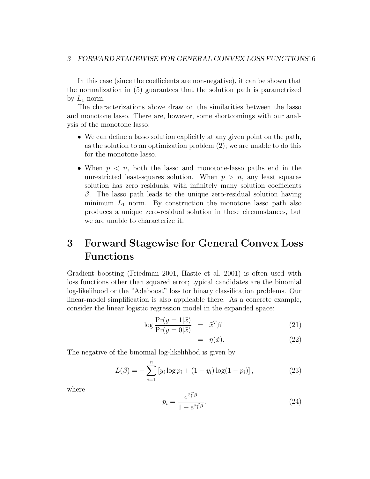In this case (since the coefficients are non-negative), it can be shown that the normalization in (5) guarantees that the solution path is parametrized by  $L_1$  norm.

The characterizations above draw on the similarities between the lasso and monotone lasso. There are, however, some shortcomings with our analysis of the monotone lasso:

- We can define a lasso solution explicitly at any given point on the path, as the solution to an optimization problem (2); we are unable to do this for the monotone lasso.
- When  $p \leq n$ , both the lasso and monotone-lasso paths end in the unrestricted least-squares solution. When  $p > n$ , any least squares solution has zero residuals, with infinitely many solution coefficients  $\beta$ . The lasso path leads to the unique zero-residual solution having minimum  $L_1$  norm. By construction the monotone lasso path also produces a unique zero-residual solution in these circumstances, but we are unable to characterize it.

# 3 Forward Stagewise for General Convex Loss Functions

Gradient boosting (Friedman 2001, Hastie et al. 2001) is often used with loss functions other than squared error; typical candidates are the binomial log-likelihood or the "Adaboost" loss for binary classification problems. Our linear-model simplification is also applicable there. As a concrete example, consider the linear logistic regression model in the expanded space:

$$
\log \frac{\Pr(y=1|\tilde{x})}{\Pr(y=0|\tilde{x})} = \tilde{x}^T \beta \tag{21}
$$

$$
= \eta(\tilde{x}). \tag{22}
$$

The negative of the binomial log-likelihhod is given by

$$
L(\beta) = -\sum_{i=1}^{n} \left[ y_i \log p_i + (1 - y_i) \log(1 - p_i) \right],
$$
 (23)

where

$$
p_i = \frac{e^{\tilde{x}_i^T \beta}}{1 + e^{\tilde{x}_i^T \beta}}.\tag{24}
$$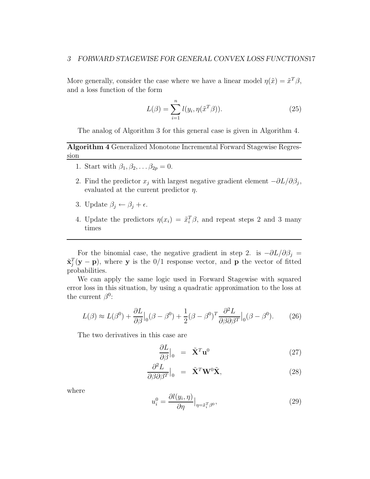More generally, consider the case where we have a linear model  $\eta(\tilde{x}) = \tilde{x}^T \beta$ , and a loss function of the form

$$
L(\beta) = \sum_{i=1}^{n} l(y_i, \eta(\tilde{x}^T \beta)).
$$
\n(25)

The analog of Algorithm 3 for this general case is given in Algorithm 4.

Algorithm 4 Generalized Monotone Incremental Forward Stagewise Regression

- 1. Start with  $\beta_1, \beta_2, \ldots \beta_{2p} = 0$ .
- 2. Find the predictor  $x_j$  with largest negative gradient element  $-\partial L/\partial \beta_j$ , evaluated at the current predictor  $\eta$ .
- 3. Update  $\beta_j \leftarrow \beta_j + \epsilon$ .
- 4. Update the predictors  $\eta(x_i) = \tilde{x}_i^T \beta$ , and repeat steps 2 and 3 many times

For the binomial case, the negative gradient in step 2. is  $-\partial L/\partial \beta_j =$  $\tilde{\mathbf{x}}_j^T(\mathbf{y}-\mathbf{p})$ , where y is the 0/1 response vector, and p the vector of fitted probabilities.

We can apply the same logic used in Forward Stagewise with squared error loss in this situation, by using a quadratic approximation to the loss at the current  $\beta^0$ :

$$
L(\beta) \approx L(\beta^0) + \frac{\partial L}{\partial \beta}\big|_0 (\beta - \beta^0) + \frac{1}{2} (\beta - \beta^0)^T \frac{\partial^2 L}{\partial \beta \partial \beta^T}\big|_0 (\beta - \beta^0). \tag{26}
$$

The two derivatives in this case are

$$
\frac{\partial L}{\partial \beta}\Big|_{0} = \tilde{\mathbf{X}}^{T} \mathbf{u}^{0}
$$
 (27)

$$
\frac{\partial^2 L}{\partial \beta \partial \beta^T}\Big|_0 = \tilde{\mathbf{X}}^T \mathbf{W}^0 \tilde{\mathbf{X}},\tag{28}
$$

where

$$
u_i^0 = \frac{\partial l(y_i, \eta)}{\partial \eta} \Big|_{\eta = \tilde{x}_i^T \beta^0},\tag{29}
$$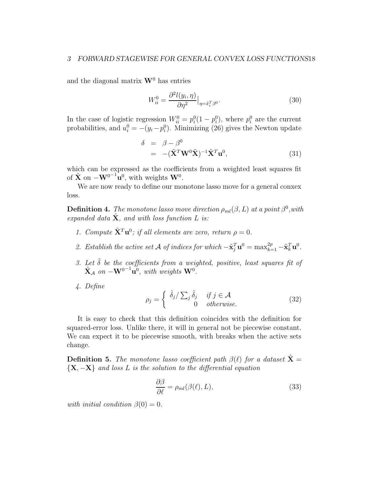#### 3 FORWARD STAGEWISE FOR GENERAL CONVEX LOSS FUNCTIONS18

and the diagonal matrix  $\mathbf{W}^0$  has entries

$$
W_{ii}^0 = \frac{\partial^2 l(y_i, \eta)}{\partial \eta^2} \Big|_{\eta = \tilde{x}_i^T \beta^0}.
$$
\n(30)

In the case of logistic regression  $W_{ii}^0 = p_i^0(1-p_i^0)$ , where  $p_i^0$  are the current probabilities, and  $u_i^0 = -(y_i - p_i^0)$ . Minimizing (26) gives the Newton update

$$
\delta = \beta - \beta^{0}
$$
  
= -(\tilde{\mathbf{X}}^{T} \mathbf{W}^{0} \tilde{\mathbf{X}})^{-1} \tilde{\mathbf{X}}^{T} \mathbf{u}^{0}, \qquad (31)

which can be expressed as the coefficients from a weighted least squares fit of  $\tilde{\mathbf{X}}$  on  $-\mathbf{W}^{0^{-1}}\mathbf{u}^0$ , with weights  $\mathbf{W}^0$ .

We are now ready to define our monotone lasso move for a general conxex loss.

**Definition 4.** The monotone lasso move direction  $\rho_{ml}(\beta, L)$  at a point  $\beta^0$ , with expanded data  $X$ , and with loss function  $L$  is:

- 1. Compute  $\tilde{\mathbf{X}}^T \mathbf{u}^0$ ; if all elements are zero, return  $\rho = 0$ .
- 2. Establish the active set A of indices for which  $-\tilde{\mathbf{x}}_j^T \mathbf{u}^0 = \max_{k=1}^{2p} -\tilde{\mathbf{x}}_k^T \mathbf{u}^0$ .
- 3. Let  $\hat{\delta}$  be the coefficients from a weighted, positive, least squares fit of  $\tilde{\mathbf{X}}_{\mathcal{A}}$  on  $-\mathbf{W}^{0-1}\mathbf{u}^0$ , with weights  $\mathbf{W}^0$ .
- 4. Define

$$
\rho_j = \begin{cases} \hat{\delta}_j / \sum_j \hat{\delta}_j & \text{if } j \in \mathcal{A} \\ 0 & \text{otherwise.} \end{cases}
$$
 (32)

It is easy to check that this definition coincides with the definition for squared-error loss. Unlike there, it will in general not be piecewise constant. We can expect it to be piecewise smooth, with breaks when the active sets change.

**Definition 5.** The monotone lasso coefficient path  $\beta(\ell)$  for a dataset  $\tilde{\mathbf{X}} =$  ${X, -X}$  and loss L is the solution to the differential equation

$$
\frac{\partial \beta}{\partial \ell} = \rho_{ml}(\beta(\ell), L), \tag{33}
$$

with initial condition  $\beta(0) = 0$ .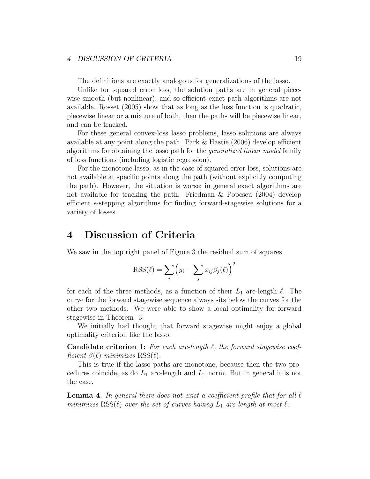#### 4 DISCUSSION OF CRITERIA 19

The definitions are exactly analogous for generalizations of the lasso.

Unlike for squared error loss, the solution paths are in general piecewise smooth (but nonlinear), and so efficient exact path algorithms are not available. Rosset (2005) show that as long as the loss function is quadratic, piecewise linear or a mixture of both, then the paths will be piecewise linear, and can be tracked.

For these general convex-loss lasso problems, lasso solutions are always available at any point along the path. Park & Hastie (2006) develop efficient algorithms for obtaining the lasso path for the generalized linear model family of loss functions (including logistic regression).

For the monotone lasso, as in the case of squared error loss, solutions are not available at specific points along the path (without explicitly computing the path). However, the situation is worse; in general exact algorithms are not available for tracking the path. Friedman & Popescu (2004) develop efficient  $\epsilon$ -stepping algorithms for finding forward-stagewise solutions for a variety of losses.

## 4 Discussion of Criteria

We saw in the top right panel of Figure 3 the residual sum of squares

$$
RSS(\ell) = \sum_{i} \left( y_i - \sum_{j} x_{ij} \beta_j(\ell) \right)^2
$$

for each of the three methods, as a function of their  $L_1$  arc-length  $\ell$ . The curve for the forward stagewise sequence always sits below the curves for the other two methods. We were able to show a local optimality for forward stagewise in Theorem 3.

We initially had thought that forward stagewise might enjoy a global optimality criterion like the lasso:

**Candidate criterion 1:** For each arc-length  $\ell$ , the forward stagewise coefficient  $\beta(\ell)$  minimizes  $RSS(\ell)$ .

This is true if the lasso paths are monotone, because then the two procedures coincide, as do  $L_1$  arc-length and  $L_1$  norm. But in general it is not the case.

**Lemma 4.** In general there does not exist a coefficient profile that for all  $\ell$ minimizes  $RSS(\ell)$  over the set of curves having  $L_1$  arc-length at most  $\ell$ .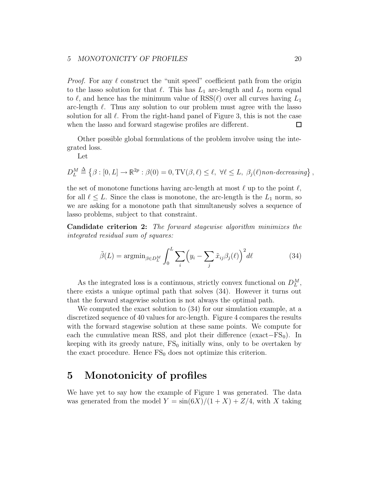#### 5 MONOTONICITY OF PROFILES 20

*Proof.* For any  $\ell$  construct the "unit speed" coefficient path from the origin to the lasso solution for that  $\ell$ . This has  $L_1$  arc-length and  $L_1$  norm equal to  $\ell$ , and hence has the minimum value of  $RSS(\ell)$  over all curves having  $L_1$ arc-length  $\ell$ . Thus any solution to our problem must agree with the lasso solution for all  $\ell$ . From the right-hand panel of Figure 3, this is not the case when the lasso and forward stagewise profiles are different.  $\Box$ 

Other possible global formulations of the problem involve using the integrated loss.

Let

 $D_L^M \triangleq \{ \beta : [0, L] \to \mathbb{R}^{2p} : \beta(0) = 0, \mathrm{TV}(\beta, \ell) \le \ell, \ \forall \ell \le L, \ \beta_j(\ell)$  non-decreasing  $\},$ 

the set of monotone functions having arc-length at most  $\ell$  up to the point  $\ell$ , for all  $\ell \leq L$ . Since the class is monotone, the arc-length is the  $L_1$  norm, so we are asking for a monotone path that simultaneusly solves a sequence of lasso problems, subject to that constraint.

Candidate criterion 2: The forward stagewise algorithm minimizes the integrated residual sum of squares:

$$
\tilde{\beta}(L) = \operatorname{argmin}_{\beta \in D_L^M} \int_0^L \sum_i \left( y_i - \sum_j \tilde{x}_{ij} \beta_j(\ell) \right)^2 d\ell \tag{34}
$$

As the integrated loss is a continuous, strictly convex functional on  $D_L^M$ , there exists a unique optimal path that solves (34). However it turns out that the forward stagewise solution is not always the optimal path.

We computed the exact solution to (34) for our simulation example, at a discretized sequence of 40 values for arc-length. Figure 4 compares the results with the forward stagewise solution at these same points. We compute for each the cumulative mean RSS, and plot their difference (exact– $FS_0$ ). In keeping with its greedy nature,  $FS_0$  initially wins, only to be overtaken by the exact procedure. Hence  $FS_0$  does not optimize this criterion.

## 5 Monotonicity of profiles

We have yet to say how the example of Figure 1 was generated. The data was generated from the model  $Y = \frac{\sin(6X)}{1 + X} + \frac{Z}{4}$ , with X taking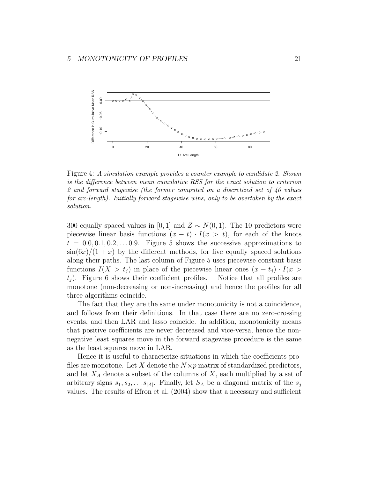

Figure 4: A simulation example provides a counter example to candidate 2. Shown is the difference between mean cumulative RSS for the exact solution to criterion 2 and forward stagewise (the former computed on a discretized set of 40 values for arc-length). Initially forward stagewise wins, only to be overtaken by the exact solution.

300 equally spaced values in [0, 1] and  $Z \sim N(0, 1)$ . The 10 predictors were piecewise linear basis functions  $(x - t) \cdot I(x > t)$ , for each of the knots  $t = 0.0, 0.1, 0.2, \ldots, 0.9$ . Figure 5 shows the successive approximations to  $\sin(6x)/(1+x)$  by the different methods, for five equally spaced solutions along their paths. The last column of Figure 5 uses piecewise constant basis functions  $I(X > t_j)$  in place of the piecewise linear ones  $(x - t_j) \cdot I(x > t_j)$ . Figure 6 shows their coefficient profiles. Notice that all profiles are  $t_i$ ). Figure 6 shows their coefficient profiles. monotone (non-decreasing or non-increasing) and hence the profiles for all three algorithms coincide.

The fact that they are the same under monotonicity is not a coincidence, and follows from their definitions. In that case there are no zero-crossing events, and then LAR and lasso coincide. In addition, monotonicity means that positive coefficients are never decreased and vice-versa, hence the nonnegative least squares move in the forward stagewise procedure is the same as the least squares move in LAR.

Hence it is useful to characterize situations in which the coefficients profiles are monotone. Let X denote the  $N \times p$  matrix of standardized predictors, and let  $X_A$  denote a subset of the columns of  $X$ , each multiplied by a set of arbitrary signs  $s_1, s_2, \ldots s_{|A|}$ . Finally, let  $S_A$  be a diagonal matrix of the  $s_j$ values. The results of Efron et al. (2004) show that a necessary and sufficient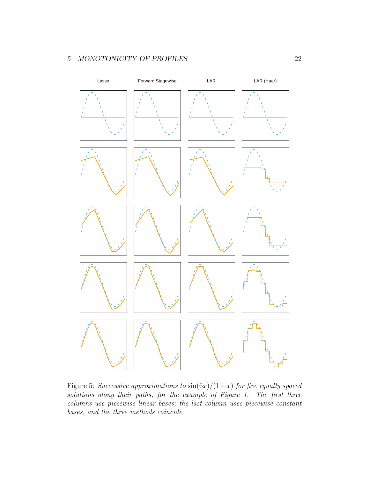### 5 MONOTONICITY OF PROFILES 22



Figure 5: Successive approximations to  $\sin(6x)/(1+x)$  for five equally spaced solutions along their paths, for the example of Figure 1. The first three columns use piecewise linear bases; the last column uses piecewise constant bases, and the three methods coincide.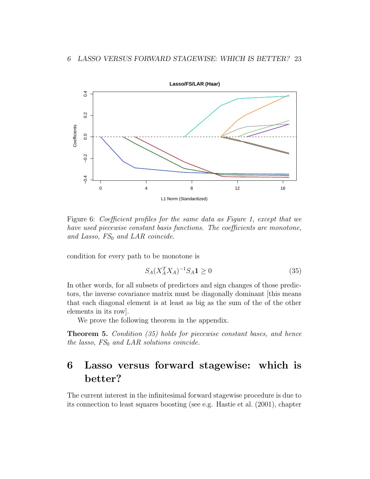

Figure 6: Coefficient profiles for the same data as Figure 1, except that we have used piecewise constant basis functions. The coefficients are monotone, and Lasso,  $FS_0$  and LAR coincide.

condition for every path to be monotone is

$$
S_A(X_A^T X_A)^{-1} S_A \mathbf{1} \ge 0 \tag{35}
$$

In other words, for all subsets of predictors and sign changes of those predictors, the inverse covariance matrix must be diagonally dominant [this means that each diagonal element is at least as big as the sum of the of the other elements in its row].

We prove the following theorem in the appendix.

Theorem 5. Condition (35) holds for piecewise constant bases, and hence the lasso,  $FS_0$  and LAR solutions coincide.

## 6 Lasso versus forward stagewise: which is better?

The current interest in the infinitesimal forward stagewise procedure is due to its connection to least squares boosting (see e.g. Hastie et al. (2001), chapter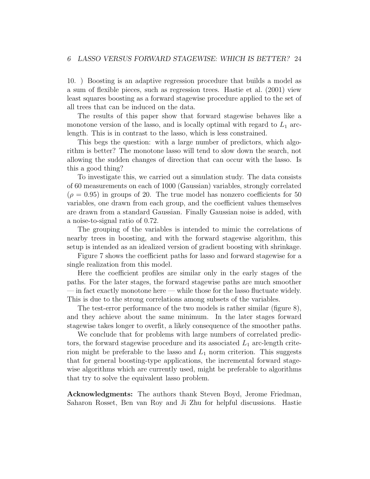10. ) Boosting is an adaptive regression procedure that builds a model as a sum of flexible pieces, such as regression trees. Hastie et al. (2001) view least squares boosting as a forward stagewise procedure applied to the set of all trees that can be induced on the data.

The results of this paper show that forward stagewise behaves like a monotone version of the lasso, and is locally optimal with regard to  $L_1$  arclength. This is in contrast to the lasso, which is less constrained.

This begs the question: with a large number of predictors, which algorithm is better? The monotone lasso will tend to slow down the search, not allowing the sudden changes of direction that can occur with the lasso. Is this a good thing?

To investigate this, we carried out a simulation study. The data consists of 60 measurements on each of 1000 (Gaussian) variables, strongly correlated  $(\rho = 0.95)$  in groups of 20. The true model has nonzero coefficients for 50 variables, one drawn from each group, and the coefficient values themselves are drawn from a standard Gaussian. Finally Gaussian noise is added, with a noise-to-signal ratio of 0.72.

The grouping of the variables is intended to mimic the correlations of nearby trees in boosting, and with the forward stagewise algorithm, this setup is intended as an idealized version of gradient boosting with shrinkage.

Figure 7 shows the coefficient paths for lasso and forward stagewise for a single realization from this model.

Here the coefficient profiles are similar only in the early stages of the paths. For the later stages, the forward stagewise paths are much smoother — in fact exactly monotone here — while those for the lasso fluctuate widely. This is due to the strong correlations among subsets of the variables.

The test-error performance of the two models is rather similar (figure 8), and they achieve about the same minimum. In the later stages forward stagewise takes longer to overfit, a likely consequence of the smoother paths.

We conclude that for problems with large numbers of correlated predictors, the forward stagewise procedure and its associated  $L_1$  arc-length criterion might be preferable to the lasso and  $L_1$  norm criterion. This suggests that for general boosting-type applications, the incremental forward stagewise algorithms which are currently used, might be preferable to algorithms that try to solve the equivalent lasso problem.

Acknowledgments: The authors thank Steven Boyd, Jerome Friedman, Saharon Rosset, Ben van Roy and Ji Zhu for helpful discussions. Hastie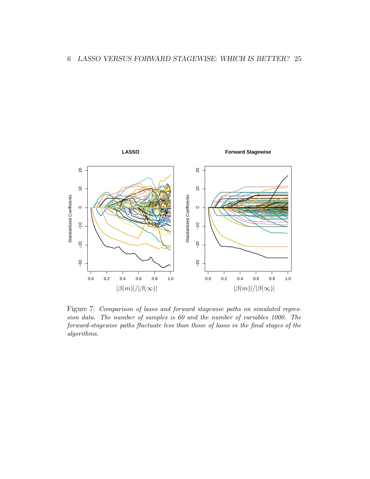

Figure 7: Comparison of lasso and forward stagewise paths on simulated regression data. The number of samples is 60 and the number of variables 1000. The forward-stagewise paths fluctuate less than those of lasso in the final stages of the algorithms.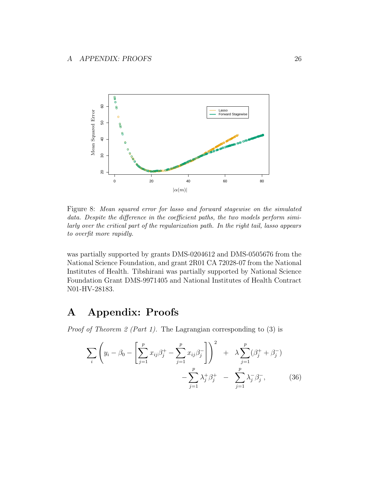

Figure 8: Mean squared error for lasso and forward stagewise on the simulated data. Despite the difference in the coefficient paths, the two models perform similarly over the critical part of the regularization path. In the right tail, lasso appears to overfit more rapidly.

was partially supported by grants DMS-0204612 and DMS-0505676 from the National Science Foundation, and grant 2R01 CA 72028-07 from the National Institutes of Health. Tibshirani was partially supported by National Science Foundation Grant DMS-9971405 and National Institutes of Health Contract N01-HV-28183.

## A Appendix: Proofs

*Proof of Theorem 2 (Part 1).* The Lagrangian corresponding to  $(3)$  is

$$
\sum_{i} \left( y_i - \beta_0 - \left[ \sum_{j=1}^p x_{ij} \beta_j^+ - \sum_{j=1}^p x_{ij} \beta_j^- \right] \right)^2 + \lambda \sum_{j=1}^p (\beta_j^+ + \beta_j^-) - \sum_{j=1}^p \lambda_j^+ \beta_j^+ - \sum_{j=1}^p \lambda_j^- \beta_j^-, \qquad (36)
$$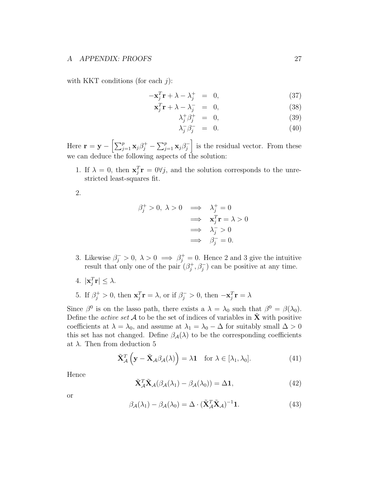with KKT conditions (for each  $j$ ):

$$
-\mathbf{x}_j^T \mathbf{r} + \lambda - \lambda_j^+ = 0, \qquad (37)
$$

$$
\mathbf{x}_j^T \mathbf{r} + \lambda - \lambda_j^- = 0, \tag{38}
$$

$$
\lambda_j^+ \beta_j^+ = 0, \tag{39}
$$

$$
\lambda_j^- \beta_j^- = 0. \tag{40}
$$

Here  $\mathbf{r} = \mathbf{y} - \left[\sum_{j=1}^p \mathbf{x}_j \beta_j^+ - \sum_{j=1}^p \mathbf{x}_j \beta_j^- \right]$  is the residual vector. From these we can deduce the following aspects of the solution:

1. If  $\lambda = 0$ , then  $\mathbf{x}_j^T \mathbf{r} = 0 \forall j$ , and the solution corresponds to the unrestricted least-squares fit.

2.

$$
\beta_j^+ > 0, \ \lambda > 0 \implies \lambda_j^+ = 0
$$
  

$$
\implies \mathbf{x}_j^T \mathbf{r} = \lambda > 0
$$
  

$$
\implies \lambda_j^- > 0
$$
  

$$
\implies \beta_j^- = 0.
$$

- 3. Likewise  $\beta_j^- > 0$ ,  $\lambda > 0 \implies \beta_j^+ = 0$ . Hence 2 and 3 give the intuitive result that only one of the pair  $(\beta_i^+)$  $j^+$ ,  $\beta_j^$  $j^{\prime}$ ) can be positive at any time.
- 4.  $|\mathbf{x}_j^T \mathbf{r}| \leq \lambda$ .
- 5. If  $\beta_j^+ > 0$ , then  $\mathbf{x}_j^T \mathbf{r} = \lambda$ , or if  $\beta_j^- > 0$ , then  $-\mathbf{x}_j^T \mathbf{r} = \lambda$

Since  $\beta^0$  is on the lasso path, there exists a  $\lambda = \lambda_0$  such that  $\beta^0 = \beta(\lambda_0)$ . Define the *active set*  $A$  to be the set of indices of variables in  $\tilde{\mathbf{X}}$  with positive coefficients at  $\lambda = \lambda_0$ , and assume at  $\lambda_1 = \lambda_0 - \Delta$  for suitably small  $\Delta > 0$ this set has not changed. Define  $\beta_{\mathcal{A}}(\lambda)$  to be the corresponding coefficients at  $\lambda$ . Then from deduction 5

$$
\tilde{\mathbf{X}}_{\mathcal{A}}^{T}\left(\mathbf{y}-\tilde{\mathbf{X}}_{\mathcal{A}}\beta_{\mathcal{A}}(\lambda)\right)=\lambda\mathbf{1} \quad \text{for } \lambda\in[\lambda_{1},\lambda_{0}].
$$
\n(41)

Hence

$$
\tilde{\mathbf{X}}_{\mathcal{A}}^T \tilde{\mathbf{X}}_{\mathcal{A}} (\beta_{\mathcal{A}} (\lambda_1) - \beta_{\mathcal{A}} (\lambda_0)) = \Delta \mathbf{1},\tag{42}
$$

or

$$
\beta_{\mathcal{A}}(\lambda_1) - \beta_{\mathcal{A}}(\lambda_0) = \Delta \cdot (\tilde{\mathbf{X}}_{\mathcal{A}}^T \tilde{\mathbf{X}}_{\mathcal{A}})^{-1} \mathbf{1}.
$$
 (43)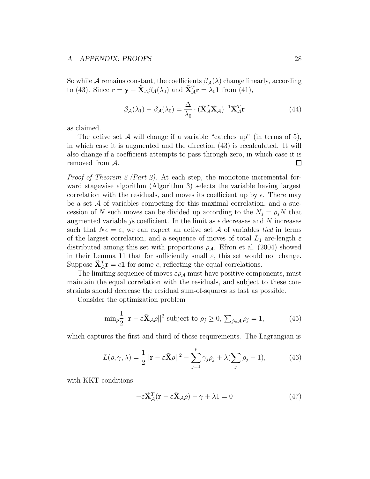#### A APPENDIX: PROOFS 28

So while A remains constant, the coefficients  $\beta_{\mathcal{A}}(\lambda)$  change linearly, according to (43). Since  $\mathbf{r} = \mathbf{y} - \tilde{\mathbf{X}}_{\mathcal{A}} \beta_{\mathcal{A}}(\lambda_0)$  and  $\tilde{\mathbf{X}}_{\mathcal{A}}^T \mathbf{r} = \lambda_0 \mathbf{1}$  from (41),

$$
\beta_{\mathcal{A}}(\lambda_1) - \beta_{\mathcal{A}}(\lambda_0) = \frac{\Delta}{\lambda_0} \cdot (\tilde{\mathbf{X}}_{\mathcal{A}}^T \tilde{\mathbf{X}}_{\mathcal{A}})^{-1} \tilde{\mathbf{X}}_{\mathcal{A}}^T \mathbf{r}
$$
(44)

as claimed.

The active set  $\mathcal A$  will change if a variable "catches up" (in terms of 5), in which case it is augmented and the direction (43) is recalculated. It will also change if a coefficient attempts to pass through zero, in which case it is removed from A.  $\Box$ 

Proof of Theorem 2 (Part 2). At each step, the monotone incremental forward stagewise algorithm (Algorithm 3) selects the variable having largest correlation with the residuals, and moves its coefficient up by  $\epsilon$ . There may be a set  $A$  of variables competing for this maximal correlation, and a succession of N such moves can be divided up according to the  $N_j = \rho_j N$  that augmented variable *js* coefficient. In the limit as  $\epsilon$  decreases and N increases such that  $N\epsilon = \epsilon$ , we can expect an active set A of variables tied in terms of the largest correlation, and a sequence of moves of total  $L_1$  arc-length  $\varepsilon$ distributed among this set with proportions  $\rho_A$ . Efron et al. (2004) showed in their Lemma 11 that for sufficiently small  $\varepsilon$ , this set would not change. Suppose  $\tilde{\mathbf{X}}_{A}^{T} \mathbf{r} = c \mathbf{1}$  for some c, reflecting the equal correlations.

The limiting sequence of moves  $\varepsilon \rho_A$  must have positive components, must maintain the equal correlation with the residuals, and subject to these constraints should decrease the residual sum-of-squares as fast as possible.

Consider the optimization problem

$$
\min_{\rho} \frac{1}{2} ||\mathbf{r} - \varepsilon \tilde{\mathbf{X}}_{\mathcal{A}} \rho||^2 \text{ subject to } \rho_j \ge 0, \ \sum_{j \in \mathcal{A}} \rho_j = 1,\tag{45}
$$

which captures the first and third of these requirements. The Lagrangian is

$$
L(\rho, \gamma, \lambda) = \frac{1}{2} ||\mathbf{r} - \varepsilon \tilde{\mathbf{X}} \rho||^2 - \sum_{j=1}^p \gamma_j \rho_j + \lambda (\sum_j \rho_j - 1), \tag{46}
$$

with KKT conditions

$$
-\varepsilon \tilde{\mathbf{X}}_{\mathcal{A}}^T(\mathbf{r} - \varepsilon \tilde{\mathbf{X}}_{\mathcal{A}} \rho) - \gamma + \lambda \mathbf{1} = 0 \tag{47}
$$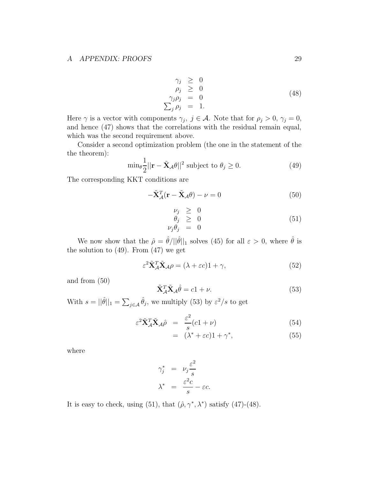$$
\begin{array}{rcl}\n\gamma_j & \geq & 0 \\
\rho_j & \geq & 0 \\
\gamma_j \rho_j & = & 0 \\
\sum_j \rho_j & = & 1.\n\end{array} \tag{48}
$$

Here  $\gamma$  is a vector with components  $\gamma_j$ ,  $j \in \mathcal{A}$ . Note that for  $\rho_j > 0$ ,  $\gamma_j = 0$ , and hence (47) shows that the correlations with the residual remain equal, which was the second requirement above.

Consider a second optimization problem (the one in the statement of the the theorem):

$$
\min_{\theta} \frac{1}{2} ||\mathbf{r} - \tilde{\mathbf{X}}_{\mathcal{A}} \theta||^2 \text{ subject to } \theta_j \ge 0. \tag{49}
$$

The corresponding KKT conditions are

$$
-\tilde{\mathbf{X}}_{\mathcal{A}}^T(\mathbf{r} - \tilde{\mathbf{X}}_{\mathcal{A}}\theta) - \nu = 0
$$
\n(50)

$$
\begin{array}{rcl}\n\nu_j & \geq & 0 \\
\theta_j & \geq & 0 \\
\nu_j \theta_j & = & 0\n\end{array} \tag{51}
$$

We now show that the  $\hat{\rho} = \hat{\theta}/||\hat{\theta}||_1$  solves (45) for all  $\varepsilon > 0$ , where  $\hat{\theta}$  is the solution to  $(49)$ . From  $(47)$  we get

$$
\varepsilon^2 \tilde{\mathbf{X}}_{\mathcal{A}}^T \tilde{\mathbf{X}}_{\mathcal{A}} \rho = (\lambda + \varepsilon c) 1 + \gamma,\tag{52}
$$

and from (50)

$$
\tilde{\mathbf{X}}_{\mathcal{A}}^T \tilde{\mathbf{X}}_{\mathcal{A}} \hat{\theta} = c1 + \nu.
$$
 (53)

With  $s = ||\hat{\theta}||_1 = \sum_{j \in A} \hat{\theta}_j$ , we multiply (53) by  $\varepsilon^2/s$  to get

$$
\varepsilon^2 \tilde{\mathbf{X}}_{\mathcal{A}}^T \tilde{\mathbf{X}}_{\mathcal{A}} \hat{\rho} = \frac{\varepsilon^2}{s} (c1 + \nu) \tag{54}
$$

$$
= (\lambda^* + \varepsilon c) 1 + \gamma^*, \tag{55}
$$

where

$$
\gamma_j^* = \nu_j \frac{\varepsilon^2}{s}
$$

$$
\lambda^* = \frac{\varepsilon^2 c}{s} - \varepsilon c.
$$

It is easy to check, using (51), that  $(\hat{\rho}, \gamma^*, \lambda^*)$  satisfy (47)-(48).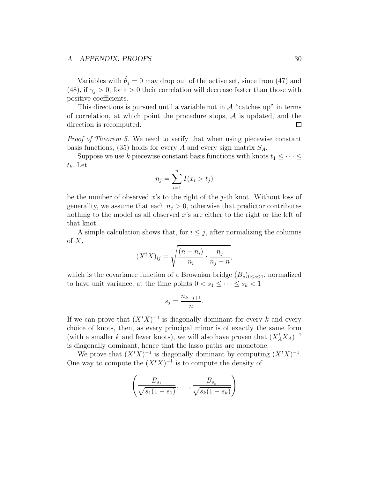#### A APPENDIX: PROOFS 30

Variables with  $\hat{\theta}_j = 0$  may drop out of the active set, since from (47) and (48), if  $\gamma_i > 0$ , for  $\varepsilon > 0$  their correlation will decrease faster than those with positive coefficients.

This directions is pursued until a variable not in  $A$  "catches up" in terms of correlation, at which point the procedure stops,  $\mathcal A$  is updated, and the direction is recomputed. direction is recomputed.

Proof of Theorem 5. We need to verify that when using piecewise constant basis functions, (35) holds for every A and every sign matrix  $S_A$ .

Suppose we use k piecewise constant basis functions with knots  $t_1 \leq \cdots \leq$  $t_k$ . Let

$$
n_j = \sum_{i=1}^n I(x_i > t_j)
$$

be the number of observed x's to the right of the j-th knot. Without loss of generality, we assume that each  $n_j > 0$ , otherwise that predictor contributes nothing to the model as all observed x's are either to the right or the left of that knot.

A simple calculation shows that, for  $i \leq j$ , after normalizing the columns of  $X$ ,

$$
(XtX)ij = \sqrt{\frac{(n-n_i)}{n_i} \cdot \frac{n_j}{n_j - n}},
$$

which is the covariance function of a Brownian bridge  $(B_s)_{0\leq s\leq 1}$ , normalized to have unit variance, at the time points  $0 < s_1 \leq \cdots \leq s_k < 1$ 

$$
s_j = \frac{n_{k-j+1}}{n}.
$$

If we can prove that  $(X^t X)^{-1}$  is diagonally dominant for every k and every choice of knots, then, as every principal minor is of exactly the same form (with a smaller k and fewer knots), we will also have proven that  $(X_A^t X_A)^{-1}$ is diagonally dominant, hence that the lasso paths are monotone.

We prove that  $(X^t X)^{-1}$  is diagonally dominant by computing  $(X^t X)^{-1}$ . One way to compute the  $(X<sup>t</sup>X)^{-1}$  is to compute the density of

$$
\left(\frac{B_{s_1}}{\sqrt{s_1(1-s_1)}},\ldots,\frac{B_{s_k}}{\sqrt{s_k(1-s_k)}}\right)
$$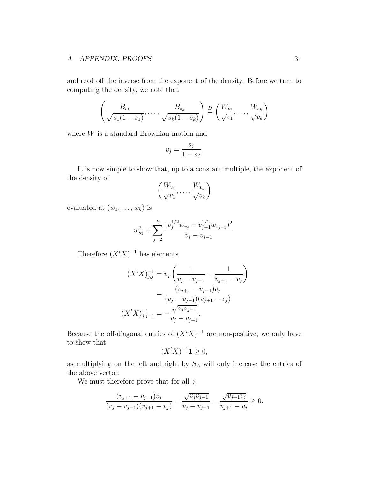#### A APPENDIX: PROOFS 31

and read off the inverse from the exponent of the density. Before we turn to computing the density, we note that

$$
\left(\frac{B_{s_1}}{\sqrt{s_1(1-s_1)}},\ldots,\frac{B_{s_k}}{\sqrt{s_k(1-s_k)}}\right)\stackrel{D}{=} \left(\frac{W_{v_1}}{\sqrt{v_1}},\ldots,\frac{W_{s_k}}{\sqrt{v_k}}\right)
$$

where  $W$  is a standard Brownian motion and

$$
v_j = \frac{s_j}{1 - s_j}.
$$

It is now simple to show that, up to a constant multiple, the exponent of the density of

$$
\left(\frac{W_{v_1}}{\sqrt{v_1}},\ldots,\frac{W_{v_k}}{\sqrt{v_k}}\right)
$$

evaluated at  $(w_1, \ldots, w_k)$  is

$$
w_{s_1}^2 + \sum_{j=2}^k \frac{(v_j^{1/2} w_{v_j} - v_{j-1}^{1/2} w_{v_{j-1}})^2}{v_j - v_{j-1}}.
$$

Therefore  $(X^t X)^{-1}$  has elements

$$
(XtX)^{-1}_{j,j} = v_j \left( \frac{1}{v_j - v_{j-1}} + \frac{1}{v_{j+1} - v_j} \right)
$$

$$
= \frac{(v_{j+1} - v_{j-1})v_j}{(v_j - v_{j-1})(v_{j+1} - v_j)}
$$

$$
(XtX)^{-1}_{j,j-1} = -\frac{\sqrt{v_j v_{j-1}}}{v_j - v_{j-1}}.
$$

Because the off-diagonal entries of  $(X<sup>t</sup> X)^{-1}$  are non-positive, we only have to show that

$$
(X^t X)^{-1} \mathbf{1} \ge 0,
$$

as multiplying on the left and right by  $S_A$  will only increase the entries of the above vector.

We must therefore prove that for all  $j$ ,

$$
\frac{(v_{j+1} - v_{j-1})v_j}{(v_j - v_{j-1})(v_{j+1} - v_j)} - \frac{\sqrt{v_j v_{j-1}}}{v_j - v_{j-1}} - \frac{\sqrt{v_{j+1}v_j}}{v_{j+1} - v_j} \ge 0.
$$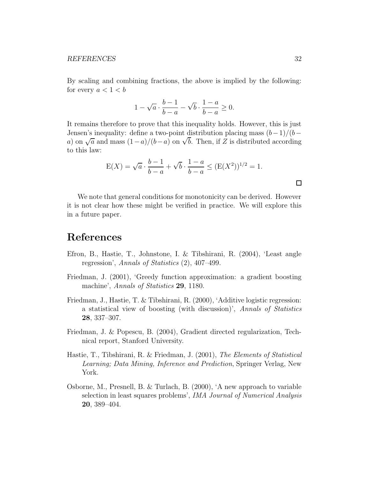#### REFERENCES 32

By scaling and combining fractions, the above is implied by the following: for every  $a < 1 < b$ 

$$
1 - \sqrt{a} \cdot \frac{b-1}{b-a} - \sqrt{b} \cdot \frac{1-a}{b-a} \ge 0.
$$

It remains therefore to prove that this inequality holds. However, this is just Jensen's inequality: define a two-point distribution placing mass  $(b-1)/(b$ a) on  $\sqrt{a}$  and mass  $(1-a)/(b-a)$  on  $\sqrt{b}$ . Then, if Z is distributed according to this law:

$$
E(X) = \sqrt{a} \cdot \frac{b-1}{b-a} + \sqrt{b} \cdot \frac{1-a}{b-a} \le (E(X^2))^{1/2} = 1.
$$

We note that general conditions for monotonicity can be derived. However it is not clear how these might be verified in practice. We will explore this in a future paper.

## References

- Efron, B., Hastie, T., Johnstone, I. & Tibshirani, R. (2004), 'Least angle regression', Annals of Statistics (2), 407–499.
- Friedman, J. (2001), 'Greedy function approximation: a gradient boosting machine', Annals of Statistics 29, 1180.
- Friedman, J., Hastie, T. & Tibshirani, R. (2000), 'Additive logistic regression: a statistical view of boosting (with discussion)', Annals of Statistics 28, 337–307.
- Friedman, J. & Popescu, B. (2004), Gradient directed regularization, Technical report, Stanford University.
- Hastie, T., Tibshirani, R. & Friedman, J. (2001), The Elements of Statistical Learning; Data Mining, Inference and Prediction, Springer Verlag, New York.
- Osborne, M., Presnell, B. & Turlach, B. (2000), 'A new approach to variable selection in least squares problems', IMA Journal of Numerical Analysis 20, 389–404.

 $\Box$